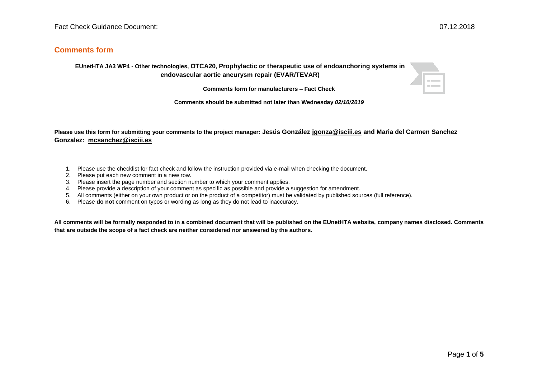## **Comments form**

## **EUnetHTA JA3 WP4 - Other technologies, OTCA20, Prophylactic or therapeutic use of endoanchoring systems in endovascular aortic aneurysm repair (EVAR/TEVAR)**

 $\equiv$ 

**Comments form for manufacturers – Fact Check**

**Comments should be submitted not later than Wednesday** *02/10/2019*

**Please use this form for submitting your comments to the project manager: Jesús González [jgonza@isciii.es](mailto:jgonza@isciii.es) and Maria del Carmen Sanchez Gonzalez: [mcsanchez@isciii.es](mailto:mcsanchez@isciii.es)**

- 1. Please use the checklist for fact check and follow the instruction provided via e-mail when checking the document.
- 2. Please put each new comment in a new row.
- 3. Please insert the page number and section number to which your comment applies.
- 4. Please provide a description of your comment as specific as possible and provide a suggestion for amendment.
- 5. All comments (either on your own product or on the product of a competitor) must be validated by published sources (full reference).
- 6. Please **do not** comment on typos or wording as long as they do not lead to inaccuracy.

**All comments will be formally responded to in a combined document that will be published on the EUnetHTA website, company names disclosed. Comments that are outside the scope of a fact check are neither considered nor answered by the authors.**

Page **1** of **5**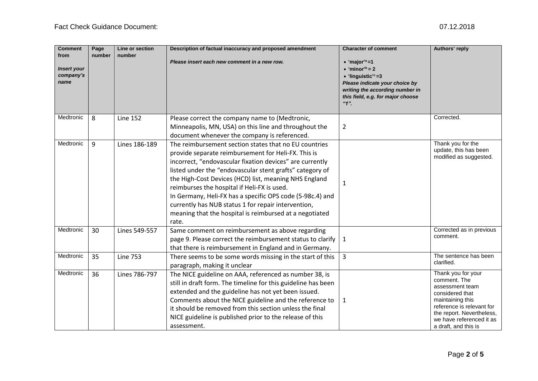| <b>Comment</b><br>from<br><b>Insert your</b><br>company's<br>name | Page<br>number | Line or section<br>number | Description of factual inaccuracy and proposed amendment<br>Please insert each new comment in a new row.                                                                                                                                                                                                                                                                                                                                                                                                                             | <b>Character of comment</b><br>$\bullet$ 'major' <sup>a</sup> =1<br>$\bullet$ 'minor' <sup>b</sup> = 2<br>$\bullet$ 'linguistic' <sup>c</sup> =3<br>Please indicate your choice by<br>writing the according number in<br>this field, e.g. for major choose<br>$"1"$ . | Authors' reply                                                                                                                                                                                             |
|-------------------------------------------------------------------|----------------|---------------------------|--------------------------------------------------------------------------------------------------------------------------------------------------------------------------------------------------------------------------------------------------------------------------------------------------------------------------------------------------------------------------------------------------------------------------------------------------------------------------------------------------------------------------------------|-----------------------------------------------------------------------------------------------------------------------------------------------------------------------------------------------------------------------------------------------------------------------|------------------------------------------------------------------------------------------------------------------------------------------------------------------------------------------------------------|
| Medtronic                                                         | 8              | <b>Line 152</b>           | Please correct the company name to (Medtronic,<br>Minneapolis, MN, USA) on this line and throughout the<br>document whenever the company is referenced.                                                                                                                                                                                                                                                                                                                                                                              | $\overline{2}$                                                                                                                                                                                                                                                        | Corrected.                                                                                                                                                                                                 |
| Medtronic                                                         | 9              | Lines 186-189             | The reimbursement section states that no EU countries<br>provide separate reimbursement for Heli-FX. This is<br>incorrect, "endovascular fixation devices" are currently<br>listed under the "endovascular stent grafts" category of<br>the High-Cost Devices (HCD) list, meaning NHS England<br>reimburses the hospital if Heli-FX is used.<br>In Germany, Heli-FX has a specific OPS code (5-98c.4) and<br>currently has NUB status 1 for repair intervention,<br>meaning that the hospital is reimbursed at a negotiated<br>rate. | 1                                                                                                                                                                                                                                                                     | Thank you for the<br>update, this has been<br>modified as suggested.                                                                                                                                       |
| Medtronic                                                         | 30             | Lines 549-557             | Same comment on reimbursement as above regarding<br>page 9. Please correct the reimbursement status to clarify<br>that there is reimbursement in England and in Germany.                                                                                                                                                                                                                                                                                                                                                             | $\mathbf{1}$                                                                                                                                                                                                                                                          | Corrected as in previous<br>comment.                                                                                                                                                                       |
| Medtronic                                                         | 35             | <b>Line 753</b>           | There seems to be some words missing in the start of this<br>paragraph, making it unclear                                                                                                                                                                                                                                                                                                                                                                                                                                            | $\overline{3}$                                                                                                                                                                                                                                                        | The sentence has been<br>clarified.                                                                                                                                                                        |
| Medtronic                                                         | 36             | Lines 786-797             | The NICE guideline on AAA, referenced as number 38, is<br>still in draft form. The timeline for this guideline has been<br>extended and the guideline has not yet been issued.<br>Comments about the NICE guideline and the reference to<br>it should be removed from this section unless the final<br>NICE guideline is published prior to the release of this<br>assessment.                                                                                                                                                       | 1                                                                                                                                                                                                                                                                     | Thank you for your<br>comment. The<br>assessment team<br>considered that<br>maintaining this<br>reference is relevant for<br>the report. Nevertheless,<br>we have referenced it as<br>a draft, and this is |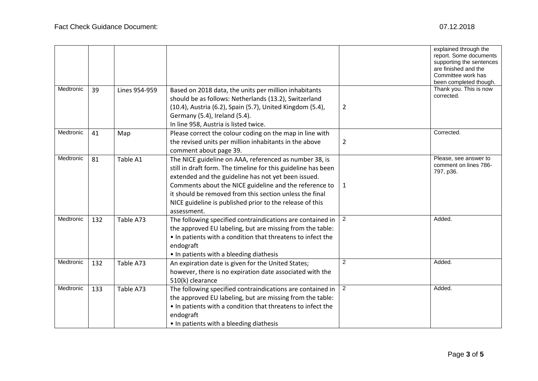|           |     |               |                                                                                                                                                                                                                                                                                                                                                                                |                | explained through the<br>report. Some documents<br>supporting the sentences<br>are finished and the<br>Committee work has<br>been completed though. |
|-----------|-----|---------------|--------------------------------------------------------------------------------------------------------------------------------------------------------------------------------------------------------------------------------------------------------------------------------------------------------------------------------------------------------------------------------|----------------|-----------------------------------------------------------------------------------------------------------------------------------------------------|
| Medtronic | 39  | Lines 954-959 | Based on 2018 data, the units per million inhabitants<br>should be as follows: Netherlands (13.2), Switzerland<br>(10.4), Austria (6.2), Spain (5.7), United Kingdom (5.4),<br>Germany (5.4), Ireland (5.4).<br>In line 958, Austria is listed twice.                                                                                                                          | $\overline{2}$ | Thank you. This is now<br>corrected.                                                                                                                |
| Medtronic | 41  | Map           | Please correct the colour coding on the map in line with<br>the revised units per million inhabitants in the above<br>comment about page 39.                                                                                                                                                                                                                                   | $\overline{2}$ | Corrected.                                                                                                                                          |
| Medtronic | 81  | Table A1      | The NICE guideline on AAA, referenced as number 38, is<br>still in draft form. The timeline for this guideline has been<br>extended and the guideline has not yet been issued.<br>Comments about the NICE guideline and the reference to<br>it should be removed from this section unless the final<br>NICE guideline is published prior to the release of this<br>assessment. | 1              | Please, see answer to<br>comment on lines 786-<br>797, p36.                                                                                         |
| Medtronic | 132 | Table A73     | The following specified contraindications are contained in<br>the approved EU labeling, but are missing from the table:<br>. In patients with a condition that threatens to infect the<br>endograft<br>• In patients with a bleeding diathesis                                                                                                                                 | $\overline{2}$ | Added.                                                                                                                                              |
| Medtronic | 132 | Table A73     | An expiration date is given for the United States;<br>however, there is no expiration date associated with the<br>510(k) clearance                                                                                                                                                                                                                                             | 2              | Added.                                                                                                                                              |
| Medtronic | 133 | Table A73     | The following specified contraindications are contained in<br>the approved EU labeling, but are missing from the table:<br>• In patients with a condition that threatens to infect the<br>endograft<br>• In patients with a bleeding diathesis                                                                                                                                 | 2              | Added.                                                                                                                                              |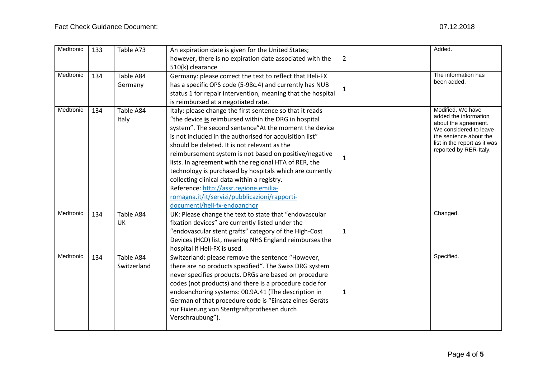| Medtronic | 133 | Table A73                | An expiration date is given for the United States;<br>however, there is no expiration date associated with the<br>510(k) clearance                                                                                                                                                                                                                                                                                                                                                                                                                                                                                                            | $\overline{2}$ | Added.                                                                                                                                                                           |
|-----------|-----|--------------------------|-----------------------------------------------------------------------------------------------------------------------------------------------------------------------------------------------------------------------------------------------------------------------------------------------------------------------------------------------------------------------------------------------------------------------------------------------------------------------------------------------------------------------------------------------------------------------------------------------------------------------------------------------|----------------|----------------------------------------------------------------------------------------------------------------------------------------------------------------------------------|
| Medtronic | 134 | Table A84<br>Germany     | Germany: please correct the text to reflect that Heli-FX<br>has a specific OPS code (5-98c.4) and currently has NUB<br>status 1 for repair intervention, meaning that the hospital<br>is reimbursed at a negotiated rate.                                                                                                                                                                                                                                                                                                                                                                                                                     | $\mathbf{1}$   | The information has<br>been added.                                                                                                                                               |
| Medtronic | 134 | Table A84<br>Italy       | Italy: please change the first sentence so that it reads<br>"the device is reimbursed within the DRG in hospital<br>system". The second sentence"At the moment the device<br>is not included in the authorised for acquisition list"<br>should be deleted. It is not relevant as the<br>reimbursement system is not based on positive/negative<br>lists. In agreement with the regional HTA of RER, the<br>technology is purchased by hospitals which are currently<br>collecting clinical data within a registry.<br>Reference: http://assr.regione.emilia-<br>romagna.it/it/servizi/pubblicazioni/rapporti-<br>documenti/heli-fx-endoanchor | 1              | Modified. We have<br>added the information<br>about the agreement.<br>We considered to leave<br>the sentence about the<br>list in the report as it was<br>reported by RER-Italy. |
| Medtronic | 134 | Table A84<br>UK          | UK: Please change the text to state that "endovascular<br>fixation devices" are currently listed under the<br>"endovascular stent grafts" category of the High-Cost<br>Devices (HCD) list, meaning NHS England reimburses the<br>hospital if Heli-FX is used.                                                                                                                                                                                                                                                                                                                                                                                 | $\mathbf{1}$   | Changed.                                                                                                                                                                         |
| Medtronic | 134 | Table A84<br>Switzerland | Switzerland: please remove the sentence "However,<br>there are no products specified". The Swiss DRG system<br>never specifies products. DRGs are based on procedure<br>codes (not products) and there is a procedure code for<br>endoanchoring systems: 00.9A.41 (The description in<br>German of that procedure code is "Einsatz eines Geräts<br>zur Fixierung von Stentgraftprothesen durch<br>Verschraubung").                                                                                                                                                                                                                            | 1              | Specified.                                                                                                                                                                       |